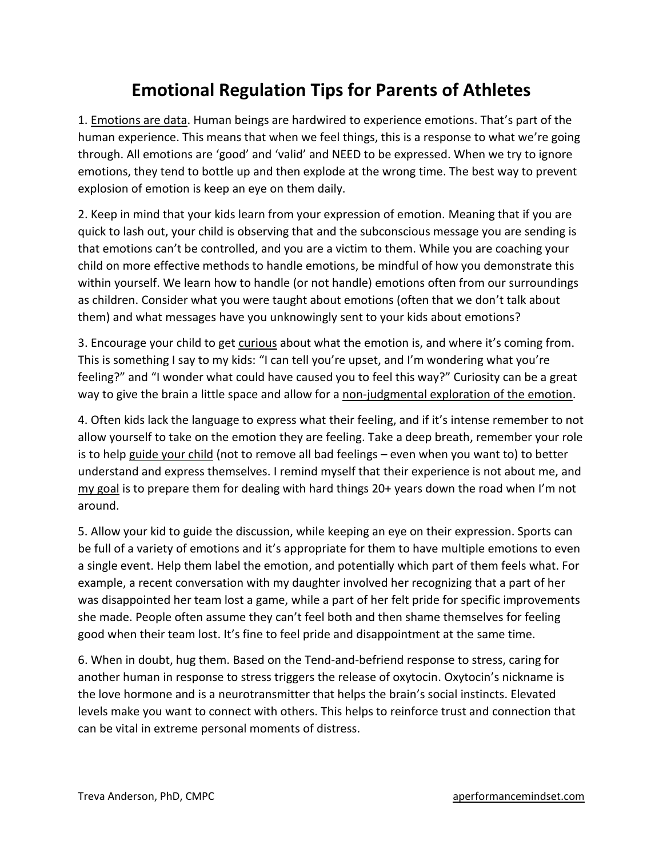## **Emotional Regulation Tips for Parents of Athletes**

1. Emotions are data. Human beings are hardwired to experience emotions. That's part of the human experience. This means that when we feel things, this is a response to what we're going through. All emotions are 'good' and 'valid' and NEED to be expressed. When we try to ignore emotions, they tend to bottle up and then explode at the wrong time. The best way to prevent explosion of emotion is keep an eye on them daily.

2. Keep in mind that your kids learn from your expression of emotion. Meaning that if you are quick to lash out, your child is observing that and the subconscious message you are sending is that emotions can't be controlled, and you are a victim to them. While you are coaching your child on more effective methods to handle emotions, be mindful of how you demonstrate this within yourself. We learn how to handle (or not handle) emotions often from our surroundings as children. Consider what you were taught about emotions (often that we don't talk about them) and what messages have you unknowingly sent to your kids about emotions?

3. Encourage your child to get curious about what the emotion is, and where it's coming from. This is something I say to my kids: "I can tell you're upset, and I'm wondering what you're feeling?" and "I wonder what could have caused you to feel this way?" Curiosity can be a great way to give the brain a little space and allow for a non-judgmental exploration of the emotion.

4. Often kids lack the language to express what their feeling, and if it's intense remember to not allow yourself to take on the emotion they are feeling. Take a deep breath, remember your role is to help guide your child (not to remove all bad feelings – even when you want to) to better understand and express themselves. I remind myself that their experience is not about me, and my goal is to prepare them for dealing with hard things 20+ years down the road when I'm not around.

5. Allow your kid to guide the discussion, while keeping an eye on their expression. Sports can be full of a variety of emotions and it's appropriate for them to have multiple emotions to even a single event. Help them label the emotion, and potentially which part of them feels what. For example, a recent conversation with my daughter involved her recognizing that a part of her was disappointed her team lost a game, while a part of her felt pride for specific improvements she made. People often assume they can't feel both and then shame themselves for feeling good when their team lost. It's fine to feel pride and disappointment at the same time.

6. When in doubt, hug them. Based on the Tend-and-befriend response to stress, caring for another human in response to stress triggers the release of oxytocin. Oxytocin's nickname is the love hormone and is a neurotransmitter that helps the brain's social instincts. Elevated levels make you want to connect with others. This helps to reinforce trust and connection that can be vital in extreme personal moments of distress.